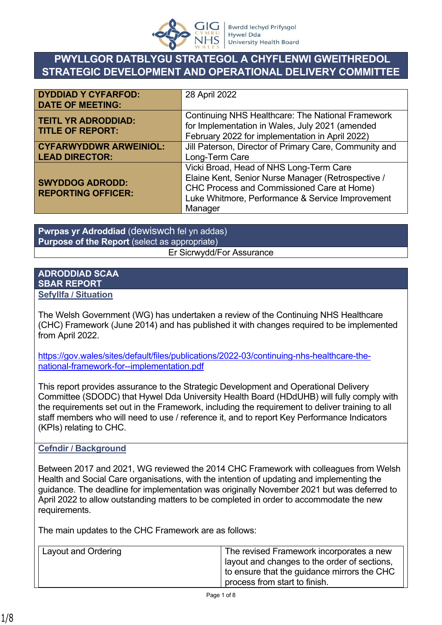

# **PWYLLGOR DATBLYGU STRATEGOL A CHYFLENWI GWEITHREDOL STRATEGIC DEVELOPMENT AND OPERATIONAL DELIVERY COMMITTEE**

| <b>DYDDIAD Y CYFARFOD:</b><br><b>DATE OF MEETING:</b>  | 28 April 2022                                                                                                                                                                                              |
|--------------------------------------------------------|------------------------------------------------------------------------------------------------------------------------------------------------------------------------------------------------------------|
| <b>TEITL YR ADRODDIAD:</b><br><b>TITLE OF REPORT:</b>  | <b>Continuing NHS Healthcare: The National Framework</b><br>for Implementation in Wales, July 2021 (amended<br>February 2022 for implementation in April 2022)                                             |
| <b>CYFARWYDDWR ARWEINIOL:</b><br><b>LEAD DIRECTOR:</b> | Jill Paterson, Director of Primary Care, Community and<br>Long-Term Care                                                                                                                                   |
| <b>SWYDDOG ADRODD:</b><br><b>REPORTING OFFICER:</b>    | Vicki Broad, Head of NHS Long-Term Care<br>Elaine Kent, Senior Nurse Manager (Retrospective /<br>CHC Process and Commissioned Care at Home)<br>Luke Whitmore, Performance & Service Improvement<br>Manager |

**Pwrpas yr Adroddiad** (dewiswch fel yn addas) **Purpose of the Report** (select as appropriate) Er Sicrwydd/For Assurance

#### **ADRODDIAD SCAA SBAR REPORT Sefyllfa / Situation**

The Welsh Government (WG) has undertaken a review of the Continuing NHS Healthcare (CHC) Framework (June 2014) and has published it with changes required to be implemented from April 2022.

[https://gov.wales/sites/default/files/publications/2022-03/continuing-nhs-healthcare-the](https://gov.wales/sites/default/files/publications/2022-03/continuing-nhs-healthcare-the-national-framework-for--implementation.pdf)[national-framework-for--implementation.pdf](https://gov.wales/sites/default/files/publications/2022-03/continuing-nhs-healthcare-the-national-framework-for--implementation.pdf)

This report provides assurance to the Strategic Development and Operational Delivery Committee (SDODC) that Hywel Dda University Health Board (HDdUHB) will fully comply with the requirements set out in the Framework, including the requirement to deliver training to all staff members who will need to use / reference it, and to report Key Performance Indicators (KPIs) relating to CHC.

### **Cefndir / Background**

Between 2017 and 2021, WG reviewed the 2014 CHC Framework with colleagues from Welsh Health and Social Care organisations, with the intention of updating and implementing the guidance. The deadline for implementation was originally November 2021 but was deferred to April 2022 to allow outstanding matters to be completed in order to accommodate the new requirements.

The main updates to the CHC Framework are as follows:

| Layout and Ordering | The revised Framework incorporates a new<br>I ayout and changes to the order of sections,<br>to ensure that the guidance mirrors the CHC<br>process from start to finish. |
|---------------------|---------------------------------------------------------------------------------------------------------------------------------------------------------------------------|
|---------------------|---------------------------------------------------------------------------------------------------------------------------------------------------------------------------|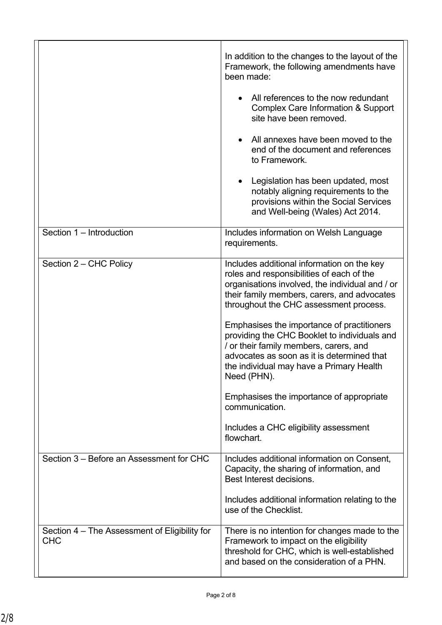|                                                             | In addition to the changes to the layout of the<br>Framework, the following amendments have<br>been made:<br>All references to the now redundant<br><b>Complex Care Information &amp; Support</b><br>site have been removed.<br>All annexes have been moved to the<br>end of the document and references<br>to Framework.<br>Legislation has been updated, most<br>notably aligning requirements to the<br>provisions within the Social Services<br>and Well-being (Wales) Act 2014.                                                                                                                      |
|-------------------------------------------------------------|-----------------------------------------------------------------------------------------------------------------------------------------------------------------------------------------------------------------------------------------------------------------------------------------------------------------------------------------------------------------------------------------------------------------------------------------------------------------------------------------------------------------------------------------------------------------------------------------------------------|
| Section 1 - Introduction                                    | Includes information on Welsh Language<br>requirements.                                                                                                                                                                                                                                                                                                                                                                                                                                                                                                                                                   |
| Section 2 - CHC Policy                                      | Includes additional information on the key<br>roles and responsibilities of each of the<br>organisations involved, the individual and / or<br>their family members, carers, and advocates<br>throughout the CHC assessment process.<br>Emphasises the importance of practitioners<br>providing the CHC Booklet to individuals and<br>/ or their family members, carers, and<br>advocates as soon as it is determined that<br>the individual may have a Primary Health<br>Need (PHN).<br>Emphasises the importance of appropriate<br>communication.<br>Includes a CHC eligibility assessment<br>flowchart. |
| Section 3 – Before an Assessment for CHC                    | Includes additional information on Consent,<br>Capacity, the sharing of information, and<br>Best Interest decisions.<br>Includes additional information relating to the<br>use of the Checklist.                                                                                                                                                                                                                                                                                                                                                                                                          |
| Section 4 – The Assessment of Eligibility for<br><b>CHC</b> | There is no intention for changes made to the<br>Framework to impact on the eligibility<br>threshold for CHC, which is well-established<br>and based on the consideration of a PHN.                                                                                                                                                                                                                                                                                                                                                                                                                       |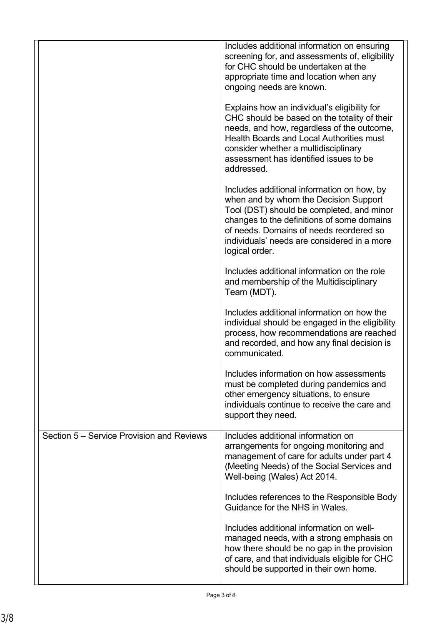|                                           | Includes additional information on ensuring<br>screening for, and assessments of, eligibility<br>for CHC should be undertaken at the<br>appropriate time and location when any<br>ongoing needs are known.                                                                                    |
|-------------------------------------------|-----------------------------------------------------------------------------------------------------------------------------------------------------------------------------------------------------------------------------------------------------------------------------------------------|
|                                           | Explains how an individual's eligibility for<br>CHC should be based on the totality of their<br>needs, and how, regardless of the outcome,<br><b>Health Boards and Local Authorities must</b><br>consider whether a multidisciplinary<br>assessment has identified issues to be<br>addressed. |
|                                           | Includes additional information on how, by<br>when and by whom the Decision Support<br>Tool (DST) should be completed, and minor<br>changes to the definitions of some domains<br>of needs. Domains of needs reordered so<br>individuals' needs are considered in a more<br>logical order.    |
|                                           | Includes additional information on the role<br>and membership of the Multidisciplinary<br>Team (MDT).                                                                                                                                                                                         |
|                                           | Includes additional information on how the<br>individual should be engaged in the eligibility<br>process, how recommendations are reached<br>and recorded, and how any final decision is<br>communicated.                                                                                     |
|                                           | Includes information on how assessments<br>must be completed during pandemics and<br>other emergency situations, to ensure<br>individuals continue to receive the care and<br>support they need.                                                                                              |
| Section 5 – Service Provision and Reviews | Includes additional information on<br>arrangements for ongoing monitoring and<br>management of care for adults under part 4<br>(Meeting Needs) of the Social Services and<br>Well-being (Wales) Act 2014.                                                                                     |
|                                           | Includes references to the Responsible Body<br>Guidance for the NHS in Wales.                                                                                                                                                                                                                 |
|                                           | Includes additional information on well-<br>managed needs, with a strong emphasis on<br>how there should be no gap in the provision<br>of care, and that individuals eligible for CHC<br>should be supported in their own home.                                                               |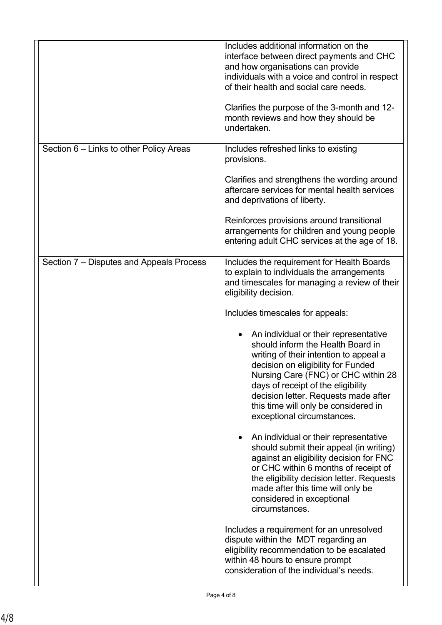|                                          | Includes additional information on the<br>interface between direct payments and CHC<br>and how organisations can provide<br>individuals with a voice and control in respect<br>of their health and social care needs.<br>Clarifies the purpose of the 3-month and 12-<br>month reviews and how they should be<br>undertaken.                                                                                                                                                                                                                                                                                                                                     |
|------------------------------------------|------------------------------------------------------------------------------------------------------------------------------------------------------------------------------------------------------------------------------------------------------------------------------------------------------------------------------------------------------------------------------------------------------------------------------------------------------------------------------------------------------------------------------------------------------------------------------------------------------------------------------------------------------------------|
| Section 6 – Links to other Policy Areas  | Includes refreshed links to existing<br>provisions.<br>Clarifies and strengthens the wording around<br>aftercare services for mental health services<br>and deprivations of liberty.<br>Reinforces provisions around transitional                                                                                                                                                                                                                                                                                                                                                                                                                                |
|                                          | arrangements for children and young people<br>entering adult CHC services at the age of 18.                                                                                                                                                                                                                                                                                                                                                                                                                                                                                                                                                                      |
| Section 7 – Disputes and Appeals Process | Includes the requirement for Health Boards<br>to explain to individuals the arrangements<br>and timescales for managing a review of their<br>eligibility decision.<br>Includes timescales for appeals:<br>An individual or their representative<br>should inform the Health Board in<br>writing of their intention to appeal a<br>decision on eligibility for Funded<br>Nursing Care (FNC) or CHC within 28<br>days of receipt of the eligibility<br>decision letter. Requests made after<br>this time will only be considered in<br>exceptional circumstances.<br>An individual or their representative<br>$\bullet$<br>should submit their appeal (in writing) |
|                                          | against an eligibility decision for FNC<br>or CHC within 6 months of receipt of<br>the eligibility decision letter. Requests<br>made after this time will only be<br>considered in exceptional<br>circumstances.<br>Includes a requirement for an unresolved<br>dispute within the MDT regarding an<br>eligibility recommendation to be escalated<br>within 48 hours to ensure prompt<br>consideration of the individual's needs.                                                                                                                                                                                                                                |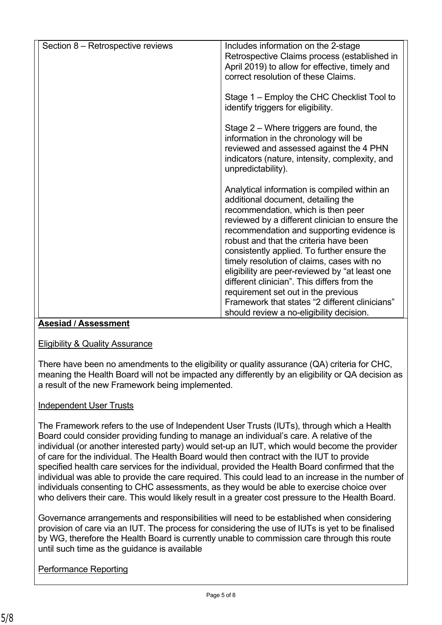| Section 8 – Retrospective reviews | Includes information on the 2-stage<br>Retrospective Claims process (established in<br>April 2019) to allow for effective, timely and<br>correct resolution of these Claims.                                                                                                                                                                                                                                                                                     |
|-----------------------------------|------------------------------------------------------------------------------------------------------------------------------------------------------------------------------------------------------------------------------------------------------------------------------------------------------------------------------------------------------------------------------------------------------------------------------------------------------------------|
|                                   | Stage 1 – Employ the CHC Checklist Tool to<br>identify triggers for eligibility.                                                                                                                                                                                                                                                                                                                                                                                 |
|                                   | Stage 2 – Where triggers are found, the<br>information in the chronology will be<br>reviewed and assessed against the 4 PHN<br>indicators (nature, intensity, complexity, and<br>unpredictability).                                                                                                                                                                                                                                                              |
|                                   | Analytical information is compiled within an<br>additional document, detailing the<br>recommendation, which is then peer<br>reviewed by a different clinician to ensure the<br>recommendation and supporting evidence is<br>robust and that the criteria have been<br>consistently applied. To further ensure the<br>timely resolution of claims, cases with no<br>eligibility are peer-reviewed by "at least one<br>different clinician". This differs from the |
|                                   | requirement set out in the previous<br>Framework that states "2 different clinicians"<br>should review a no-eligibility decision.                                                                                                                                                                                                                                                                                                                                |

### **Asesiad / Assessment**

Eligibility & Quality Assurance

There have been no amendments to the eligibility or quality assurance (QA) criteria for CHC, meaning the Health Board will not be impacted any differently by an eligibility or QA decision as a result of the new Framework being implemented.

### Independent User Trusts

The Framework refers to the use of Independent User Trusts (IUTs), through which a Health Board could consider providing funding to manage an individual's care. A relative of the individual (or another interested party) would set-up an IUT, which would become the provider of care for the individual. The Health Board would then contract with the IUT to provide specified health care services for the individual, provided the Health Board confirmed that the individual was able to provide the care required. This could lead to an increase in the number of individuals consenting to CHC assessments, as they would be able to exercise choice over who delivers their care. This would likely result in a greater cost pressure to the Health Board.

Governance arrangements and responsibilities will need to be established when considering provision of care via an IUT. The process for considering the use of IUTs is yet to be finalised by WG, therefore the Health Board is currently unable to commission care through this route until such time as the guidance is available

Performance Reporting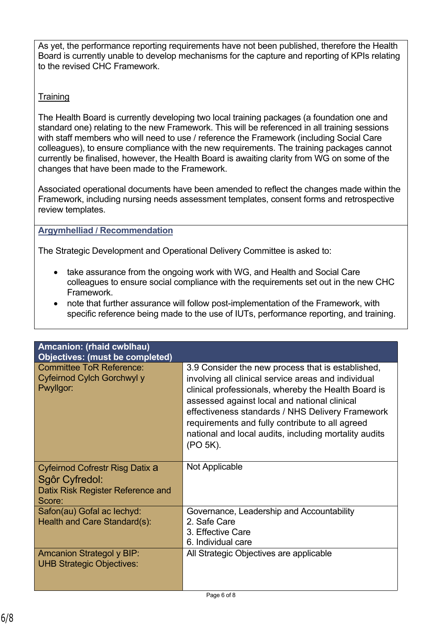As yet, the performance reporting requirements have not been published, therefore the Health Board is currently unable to develop mechanisms for the capture and reporting of KPIs relating to the revised CHC Framework.

# **Training**

The Health Board is currently developing two local training packages (a foundation one and standard one) relating to the new Framework. This will be referenced in all training sessions with staff members who will need to use / reference the Framework (including Social Care colleagues), to ensure compliance with the new requirements. The training packages cannot currently be finalised, however, the Health Board is awaiting clarity from WG on some of the changes that have been made to the Framework.

Associated operational documents have been amended to reflect the changes made within the Framework, including nursing needs assessment templates, consent forms and retrospective review templates.

## **Argymhelliad / Recommendation**

The Strategic Development and Operational Delivery Committee is asked to:

- take assurance from the ongoing work with WG, and Health and Social Care colleagues to ensure social compliance with the requirements set out in the new CHC Framework.
- note that further assurance will follow post-implementation of the Framework, with specific reference being made to the use of IUTs, performance reporting, and training.

| Amcanion: (rhaid cwblhau)<br><b>Objectives: (must be completed)</b>                                     |                                                                                                                                                                                                                                                                                                                                                                                             |
|---------------------------------------------------------------------------------------------------------|---------------------------------------------------------------------------------------------------------------------------------------------------------------------------------------------------------------------------------------------------------------------------------------------------------------------------------------------------------------------------------------------|
| <b>Committee ToR Reference:</b><br>Cyfeirnod Cylch Gorchwyl y<br>Pwyllgor:                              | 3.9 Consider the new process that is established,<br>involving all clinical service areas and individual<br>clinical professionals, whereby the Health Board is<br>assessed against local and national clinical<br>effectiveness standards / NHS Delivery Framework<br>requirements and fully contribute to all agreed<br>national and local audits, including mortality audits<br>(PO 5K). |
| <b>Cyfeirnod Cofrestr Risg Datix a</b><br>Sgôr Cyfredol:<br>Datix Risk Register Reference and<br>Score: | <b>Not Applicable</b>                                                                                                                                                                                                                                                                                                                                                                       |
| Safon(au) Gofal ac lechyd:                                                                              | Governance, Leadership and Accountability                                                                                                                                                                                                                                                                                                                                                   |
| Health and Care Standard(s):                                                                            | 2. Safe Care<br>3. Effective Care                                                                                                                                                                                                                                                                                                                                                           |
|                                                                                                         | 6. Individual care                                                                                                                                                                                                                                                                                                                                                                          |
| <b>Amcanion Strategol y BIP:</b><br><b>UHB Strategic Objectives:</b>                                    | All Strategic Objectives are applicable                                                                                                                                                                                                                                                                                                                                                     |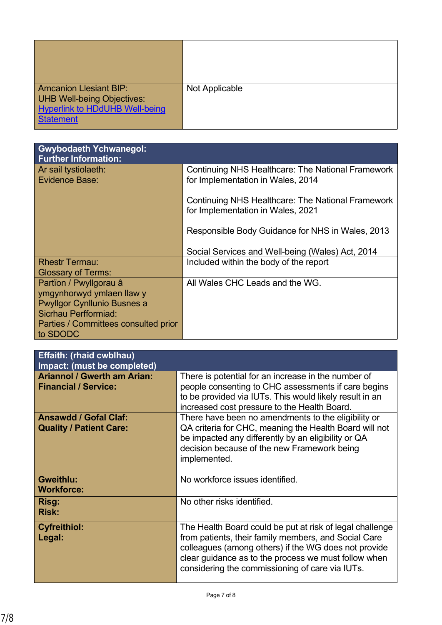| <b>Amcanion Llesiant BIP:</b><br><b>UHB Well-being Objectives:</b><br><b>Hyperlink to HDdUHB Well-being</b><br><b>Statement</b> | Not Applicable |
|---------------------------------------------------------------------------------------------------------------------------------|----------------|

| <b>Gwybodaeth Ychwanegol:</b><br><b>Further Information:</b> |                                                                                               |
|--------------------------------------------------------------|-----------------------------------------------------------------------------------------------|
| Ar sail tystiolaeth:<br>Evidence Base:                       | <b>Continuing NHS Healthcare: The National Framework</b><br>for Implementation in Wales, 2014 |
|                                                              | <b>Continuing NHS Healthcare: The National Framework</b><br>for Implementation in Wales, 2021 |
|                                                              | Responsible Body Guidance for NHS in Wales, 2013                                              |
|                                                              | Social Services and Well-being (Wales) Act, 2014                                              |
| <b>Rhestr Termau:</b>                                        | Included within the body of the report                                                        |
| <b>Glossary of Terms:</b>                                    |                                                                                               |
| Partïon / Pwyllgorau â                                       | All Wales CHC Leads and the WG.                                                               |
| ymgynhorwyd ymlaen llaw y                                    |                                                                                               |
| <b>Pwyllgor Cynllunio Busnes a</b>                           |                                                                                               |
| Sicrhau Perfformiad:                                         |                                                                                               |
| Parties / Committees consulted prior                         |                                                                                               |
| to SDODC                                                     |                                                                                               |

| <b>Effaith: (rhaid cwblhau)</b><br>Impact: (must be completed)    |                                                                                                                                                                                                                                                                                     |
|-------------------------------------------------------------------|-------------------------------------------------------------------------------------------------------------------------------------------------------------------------------------------------------------------------------------------------------------------------------------|
| <b>Ariannol / Gwerth am Arian:</b><br><b>Financial / Service:</b> | There is potential for an increase in the number of<br>people consenting to CHC assessments if care begins<br>to be provided via IUTs. This would likely result in an<br>increased cost pressure to the Health Board.                                                               |
| <b>Ansawdd / Gofal Claf:</b><br><b>Quality / Patient Care:</b>    | There have been no amendments to the eligibility or<br>QA criteria for CHC, meaning the Health Board will not<br>be impacted any differently by an eligibility or QA<br>decision because of the new Framework being<br>implemented.                                                 |
| <b>Gweithlu:</b><br><b>Workforce:</b>                             | No workforce issues identified.                                                                                                                                                                                                                                                     |
| Risg:<br><b>Risk:</b>                                             | No other risks identified.                                                                                                                                                                                                                                                          |
| <b>Cyfreithiol:</b><br>Legal:                                     | The Health Board could be put at risk of legal challenge<br>from patients, their family members, and Social Care<br>colleagues (among others) if the WG does not provide<br>clear guidance as to the process we must follow when<br>considering the commissioning of care via IUTs. |